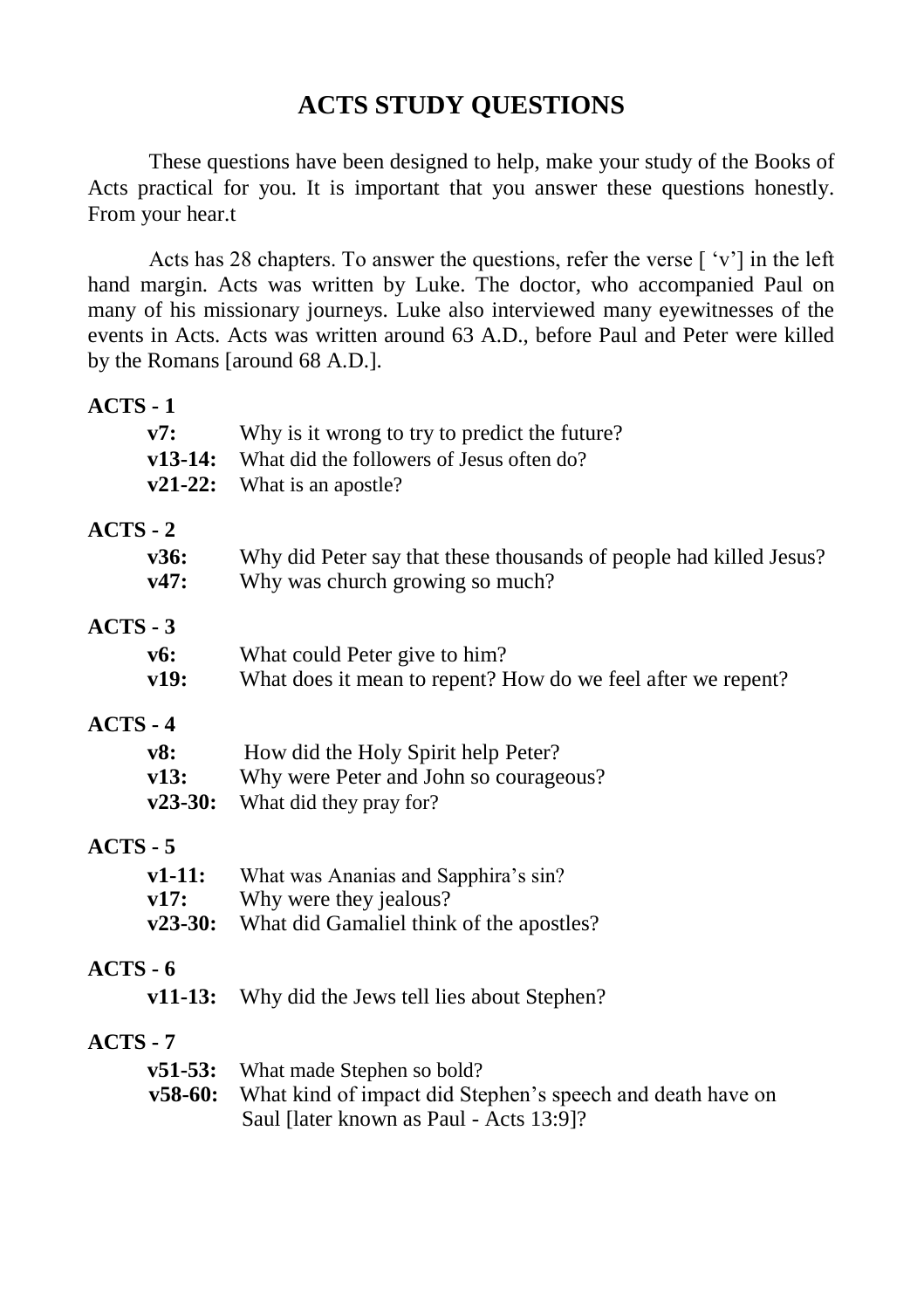## **ACTS STUDY QUESTIONS**

These questions have been designed to help, make your study of the Books of Acts practical for you. It is important that you answer these questions honestly. From your hear.t

Acts has 28 chapters. To answer the questions, refer the verse [ 'v'] in the left hand margin. Acts was written by Luke. The doctor, who accompanied Paul on many of his missionary journeys. Luke also interviewed many eyewitnesses of the events in Acts. Acts was written around 63 A.D., before Paul and Peter were killed by the Romans [around 68 A.D.].

## **ACTS - 1**

| v7:             | Why is it wrong to try to predict the future?                      |
|-----------------|--------------------------------------------------------------------|
| $v13-14:$       | What did the followers of Jesus often do?                          |
| $v21-22:$       | What is an apostle?                                                |
| $ACTS - 2$      |                                                                    |
| v36:            | Why did Peter say that these thousands of people had killed Jesus? |
| v47:            | Why was church growing so much?                                    |
| ACTS - 3        |                                                                    |
| v6:             | What could Peter give to him?                                      |
| v19:            | What does it mean to repent? How do we feel after we repent?       |
| ACTS - 4        |                                                                    |
| v8:             | How did the Holy Spirit help Peter?                                |
| v13:            | Why were Peter and John so courageous?                             |
| $v23-30:$       | What did they pray for?                                            |
| $ACTS - 5$      |                                                                    |
| $v1-11:$        | What was Ananias and Sapphira's sin?                               |
| v17:            | Why were they jealous?                                             |
| $v23-30:$       | What did Gamaliel think of the apostles?                           |
| <b>ACTS - 6</b> |                                                                    |
| $v11-13:$       | Why did the Jews tell lies about Stephen?                          |
| <b>ACTS - 7</b> |                                                                    |
| $v51-53:$       | What made Stephen so bold?                                         |
| $v58-60:$       | What kind of impact did Stephen's speech and death have on         |
|                 | Saul [later known as Paul - Acts 13:9]?                            |
|                 |                                                                    |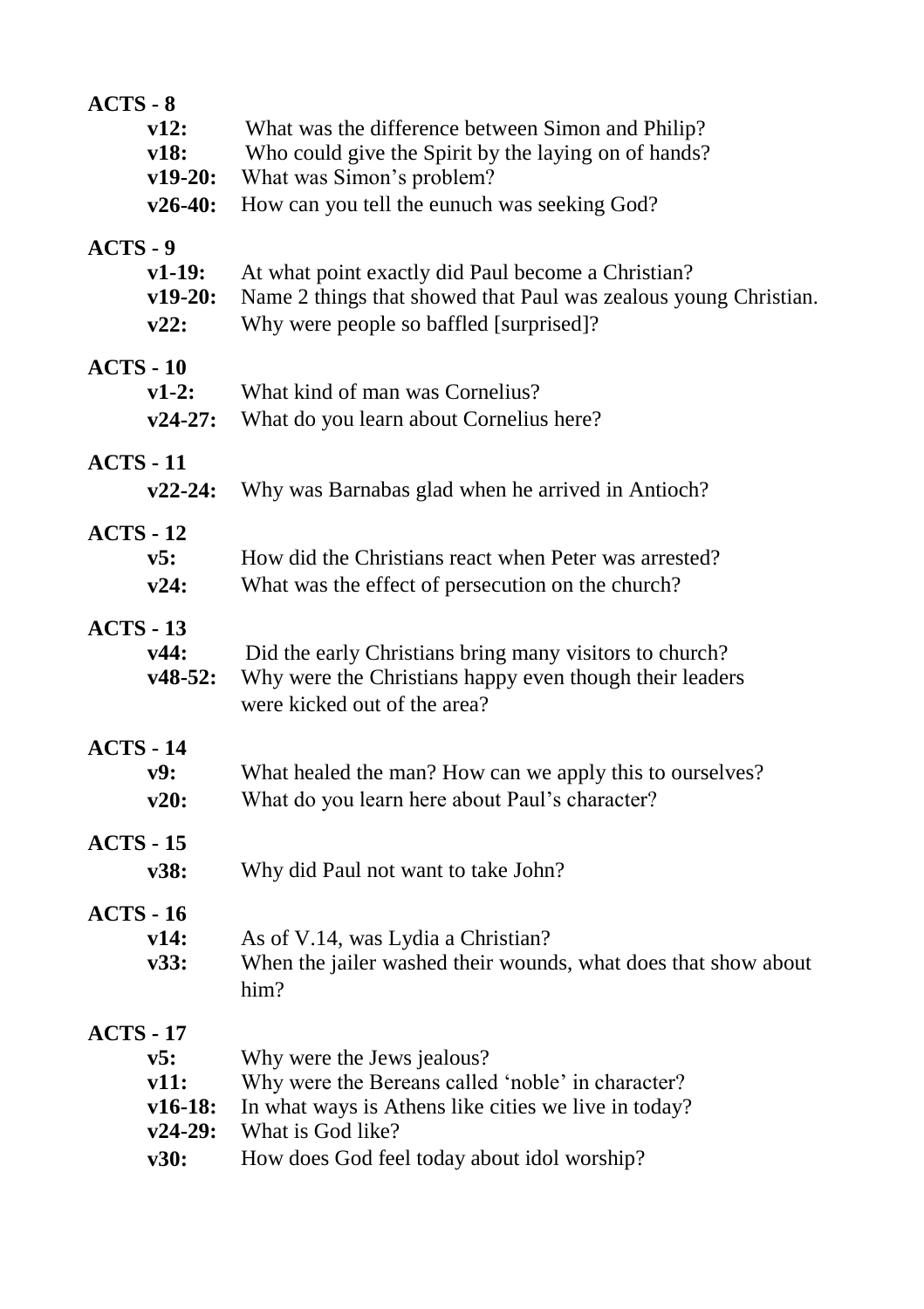| $ACTS - 8$       |                        |                                                                                                                    |  |  |
|------------------|------------------------|--------------------------------------------------------------------------------------------------------------------|--|--|
|                  | v12:                   | What was the difference between Simon and Philip?                                                                  |  |  |
|                  | v18:                   | Who could give the Spirit by the laying on of hands?                                                               |  |  |
|                  | $v19-20:$              | What was Simon's problem?                                                                                          |  |  |
|                  | $v26-40:$              | How can you tell the eunuch was seeking God?                                                                       |  |  |
| $ACTS - 9$       |                        |                                                                                                                    |  |  |
|                  | v1-19:                 | At what point exactly did Paul become a Christian?                                                                 |  |  |
|                  | $v19-20:$              | Name 2 things that showed that Paul was zealous young Christian.                                                   |  |  |
|                  | v22:                   | Why were people so baffled [surprised]?                                                                            |  |  |
| $ACTS - 10$      |                        |                                                                                                                    |  |  |
|                  | $v1-2:$                | What kind of man was Cornelius?                                                                                    |  |  |
|                  | $v24-27:$              | What do you learn about Cornelius here?                                                                            |  |  |
|                  |                        |                                                                                                                    |  |  |
| <b>ACTS - 11</b> |                        |                                                                                                                    |  |  |
|                  | $v22-24:$              | Why was Barnabas glad when he arrived in Antioch?                                                                  |  |  |
| $ACTS - 12$      |                        |                                                                                                                    |  |  |
|                  | v5:                    | How did the Christians react when Peter was arrested?                                                              |  |  |
|                  | v24:                   | What was the effect of persecution on the church?                                                                  |  |  |
|                  |                        |                                                                                                                    |  |  |
| $ACTS - 13$      | v44:                   |                                                                                                                    |  |  |
|                  | $v48-52:$              | Did the early Christians bring many visitors to church?<br>Why were the Christians happy even though their leaders |  |  |
|                  |                        | were kicked out of the area?                                                                                       |  |  |
|                  |                        |                                                                                                                    |  |  |
| <b>ACTS - 14</b> |                        |                                                                                                                    |  |  |
|                  | v9:                    | What healed the man? How can we apply this to ourselves?                                                           |  |  |
|                  | v20:                   | What do you learn here about Paul's character?                                                                     |  |  |
| <b>ACTS - 15</b> |                        |                                                                                                                    |  |  |
|                  | v38:                   | Why did Paul not want to take John?                                                                                |  |  |
|                  |                        |                                                                                                                    |  |  |
| <b>ACTS - 16</b> |                        |                                                                                                                    |  |  |
|                  | v14:<br>v33:           | As of V.14, was Lydia a Christian?<br>When the jailer washed their wounds, what does that show about               |  |  |
|                  |                        | him?                                                                                                               |  |  |
|                  |                        |                                                                                                                    |  |  |
| <b>ACTS - 17</b> |                        |                                                                                                                    |  |  |
|                  | v5:                    | Why were the Jews jealous?                                                                                         |  |  |
|                  | v11:                   | Why were the Bereans called 'noble' in character?                                                                  |  |  |
|                  | $v16-18:$<br>$v24-29:$ | In what ways is Athens like cities we live in today?<br>What is God like?                                          |  |  |
|                  |                        |                                                                                                                    |  |  |
|                  | v30:                   | How does God feel today about idol worship?                                                                        |  |  |